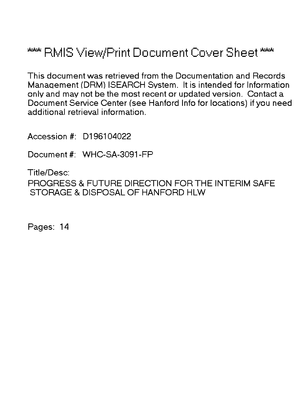# \*\*\* RMIS View/Print Document Cover Sheet \*\*\*

This document was retrieved from the Documentation and Records Manaqement (DRM) ISEARCH System. It is intended for Information only and may not be the most recent or updated version. Contact a Document Service Center (see Hanford Info for locations) if you need additional retrieval information.

Accession #: D196104022

Document #: WHC-SA-3091-FP

Title/Desc: PROGRESS & FUTURE DIRECTION FOR THE INTERIM SAFE STORAGE & DISPOSAL OF HANFORD HLW

Pages: 14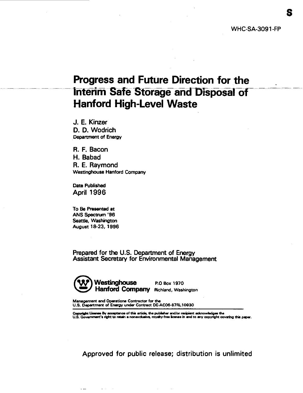## **Progress and Future Direction for the Interim Safe Storage and Disposal of Hanford High-Level Waste**

J. E. Kinzer D. D. Wodrich **Department of Energy**

R. F. Bacon H. Babad R. E. Raymond<br>Westinghouse Hanford Company

Date Published **April 1996** 

**To Be Presented at ANS Spectrum '96 Seattle, Washington August 18-23, 1996**

 $\sim$   $\sim$ 

Prepared for the U.S. Department of Energy Assistant Secretary for Environmental Management



**Management and Operations Contractor for the U.S. Department of Energy under Contract DE-AC06-87RL10930**

Copyright License By acceptance of this article, the publisher and/or recipient acknowledges the<br>U.S. Government's right to retain a nonexclusive, royalty-free license in and to any copyright covering this paper.

Approved for public release; distribution is unlimited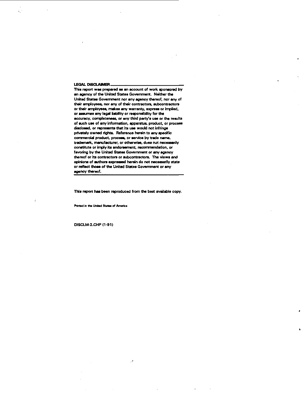#### **LEGAL DISCLAIMSR.**

**TNs report was prepared as an account of work sponsored by an agency of the United States Government. Neither the United States Government nor any agency thereof, nor any of their employees, nor any of their contractors, subcontractors or their employees, makes any warranty, express or implied, or assumes any legal liability or responsibility for the accuracy, completeness, or any third party's use or the results of such use of any information, apparatus, product, or process disclosed, or represents that its use would not infringe privately owned rights. Reference herein to any specific commercial product, process, or service by trade name, trademark, manufacturer, or otherwise, dues not necessarily constitute or imply its endorsement, recommendation, or favoring by the United States Government or any agency thereof or its contractors or subcontractors. The views and opinions of authors expressed herein do not necessarily state or reflect those of the United States Government or any agency thereof.**

**This report has been reproduced from the best available copy.**

 $\mathcal{A}$ 

**Printed in tfw Unitad SUtaa of Anwrica**

**DISCLM-2.CHP(1-91)**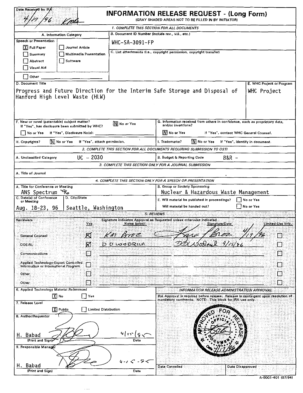| Date Received by IRA<br><b>INFORMATION RELEASE REQUEST - (Long Form)</b><br>(GRAY SHADED AREAS NOT TO BE FILLED IN BY INITIATOR)                 |                                                               |                                                                                                                                                             |                                          |  |
|--------------------------------------------------------------------------------------------------------------------------------------------------|---------------------------------------------------------------|-------------------------------------------------------------------------------------------------------------------------------------------------------------|------------------------------------------|--|
| 1. COMPLETE THIS SECTION FOR ALL DOCUMENTS                                                                                                       |                                                               |                                                                                                                                                             |                                          |  |
| B. Document ID Number (include rev., vol., etc.)<br>A. Information Category                                                                      |                                                               |                                                                                                                                                             |                                          |  |
| <b>Speech or Presentation</b><br>X Full Paper<br>Journal Article                                                                                 |                                                               | WHC-SA-3091-FP                                                                                                                                              |                                          |  |
| Summary<br>Multimedia Presentation<br>Abstract<br>Software<br>Visual Aid                                                                         |                                                               | C. List attachments (i.e., copyright permission, copyright transfer)                                                                                        |                                          |  |
| $\Box$ Other                                                                                                                                     |                                                               |                                                                                                                                                             |                                          |  |
| D. Document Title<br>Progress and Future Direction for the Interim Safe Storage and Disposal of<br>Hanford High Level Waste (HLW)                |                                                               |                                                                                                                                                             | E. WHC Project or Program<br>WHC Project |  |
| F. New or novel (patentable) subject matter?<br>If "Yes", has disclosure been submitted by WHC?<br>If "Yes", Disclosure No(s):<br>No or Yes      | <b>N</b> No or Yes                                            | G. Information received from others in confidence, such as proprietary data,<br>and/or inventions?<br>M No or Yes<br>If "Yes", contact WHC General Counsel. |                                          |  |
| <b>N</b> No or Yes<br><b>NI</b> No or Yes<br>If "Yes", attach permission.<br>I. Trademarks?<br>If "Yes", identify in document.<br>H. Copyrights? |                                                               |                                                                                                                                                             |                                          |  |
|                                                                                                                                                  |                                                               | 2. COMPLETE THIS SECTION FOR ALL DOCUMENTS REQUIRING SUBMISSION TO OSTI                                                                                     |                                          |  |
| A. Unclassified Category                                                                                                                         | $UC - 2030$<br><b>B. Budget &amp; Reporting Code</b><br>B&R - |                                                                                                                                                             |                                          |  |
|                                                                                                                                                  |                                                               | 3. COMPLETE THIS SECTION ONLY FOR A JOURNAL SUBMISSION                                                                                                      |                                          |  |
| A. Title of Journal                                                                                                                              |                                                               |                                                                                                                                                             |                                          |  |
|                                                                                                                                                  |                                                               | 4. COMPLETE THIS SECTION ONLY FOR A SPEECH OR PRESENTATION                                                                                                  |                                          |  |
| A. Title for Conference or Meeting                                                                                                               |                                                               | <b>B. Group or Society Sponsoring</b>                                                                                                                       |                                          |  |
| 96<br>ANS Spectrum                                                                                                                               | Nuclear & Hazardous Waste Management                          |                                                                                                                                                             |                                          |  |
| C. Date(s) of Conference<br>D. City/State<br>or Meeting                                                                                          | E. Will material be published in proceedings?<br>No or Yes    |                                                                                                                                                             |                                          |  |
| Seattle, Washington<br>Aug. 18-23, 96                                                                                                            |                                                               | Will material be handed out?                                                                                                                                | No or Yes                                |  |
| Raviewers                                                                                                                                        |                                                               | 5. REVIEWS<br>Signature indicates Approval as Requested unless otherwise indicated                                                                          |                                          |  |
| Yes                                                                                                                                              | Name (print)                                                  | Signature/Date                                                                                                                                              | Limited-Use Info.                        |  |
| K.<br><b>General Counsel</b>                                                                                                                     | KM Broz                                                       |                                                                                                                                                             | п                                        |  |
| ⊠<br>DOE-RL                                                                                                                                      | <b>D</b> D WODRICH                                            |                                                                                                                                                             | ा                                        |  |
| Communications<br>Ø.                                                                                                                             |                                                               |                                                                                                                                                             |                                          |  |
| Applied Technology-Export Controlled<br>ا : ا<br>Information or International Program.                                                           |                                                               |                                                                                                                                                             |                                          |  |
| Other<br>64                                                                                                                                      |                                                               |                                                                                                                                                             |                                          |  |
| Other<br>H                                                                                                                                       |                                                               |                                                                                                                                                             | M                                        |  |
| 6. Applied Technology Material Referenced                                                                                                        |                                                               | INFORMATION RELEASE ADMINISTRATION APPROVAL                                                                                                                 |                                          |  |
| $\lfloor \chi \rfloor$ No<br>│ │Yes                                                                                                              |                                                               | IRA Approval is required before release: Release is contingent upon resolution of<br>mandatory comments; NOTE: This block for IRA use only;                 |                                          |  |
| 7. Release Level<br>Limited Distribution<br>X Public                                                                                             |                                                               |                                                                                                                                                             |                                          |  |
| 8. Author/Requestor<br>H. Babad                                                                                                                  | 4   1 v   ç                                                   |                                                                                                                                                             |                                          |  |
| (Print and Sign)<br>9. Responsible Manager                                                                                                       | Date                                                          |                                                                                                                                                             |                                          |  |
| Babad<br>(Print and Sign)                                                                                                                        | Date                                                          | Date Cancelled<br>Date Disapproved                                                                                                                          |                                          |  |

|  | A-6001-401 (07/94) |
|--|--------------------|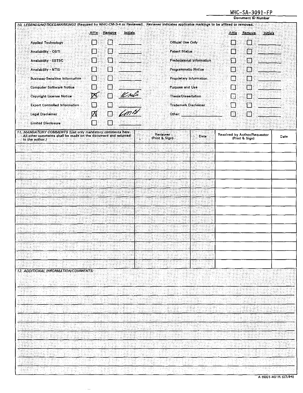## WHC-SA-3091-FP

Document ID Number

|                                                                                                                                                |                        |                 |                            |                                |                                                | Document ID Number |      |
|------------------------------------------------------------------------------------------------------------------------------------------------|------------------------|-----------------|----------------------------|--------------------------------|------------------------------------------------|--------------------|------|
| 10. LEGENDS/NOTICES/MARKINGS (Required by WHC-CM-3-4 or Reviewer). Reviewer indicates applicable markings to be affixed or removed.            | Remove<br><b>Affix</b> | <b>Initials</b> |                            |                                | Affix Remove                                   | <b>Initials</b>    |      |
| <b>Applied Technology</b>                                                                                                                      | ∐<br>t.                | 33 <u>33 40</u> | <b>Official Use Only</b>   |                                | L.                                             | ा                  |      |
| Availability - OSTI                                                                                                                            | П<br>П                 |                 | <b>Patent Status</b>       |                                |                                                | M.                 |      |
| Availability - ESTSC                                                                                                                           | П<br>П                 |                 |                            | Predecisional Information      |                                                |                    |      |
| <b>Availability - NTIS</b>                                                                                                                     | П<br>Π                 |                 |                            | Programmatic Notice            |                                                |                    |      |
| <b>Business-Sensitive Information</b>                                                                                                          | П<br>П                 |                 |                            | <b>Proprietary Information</b> |                                                |                    |      |
| <b>Computer Software Notice</b>                                                                                                                | Π<br>Г                 |                 | Purpose and Use            |                                |                                                |                    |      |
| <b>Copyright License Notice</b>                                                                                                                | $\Box$<br>⊠            | KMS             |                            | Thesis/Dissertation            | ा<br>œ                                         |                    |      |
| <b>Export Controlled Information</b>                                                                                                           | ⊡<br>Π                 |                 |                            | Trademark Disclaimer           |                                                |                    |      |
| <b>Legal Disclaimer</b>                                                                                                                        | Ø<br>⊡                 |                 | Other:                     |                                | П                                              | R                  |      |
| <b>Limited Disclosure</b>                                                                                                                      |                        |                 |                            |                                |                                                |                    |      |
| 11. MANDATORY COMMENTS (List only mandatory comments here.<br>All other comments shall be made on the document and returned<br>to the author.) |                        | v.              | Reviewer<br>(Print & Sign) | Date                           | Resolved by Author/Requestor<br>(Print & Sign) |                    | Date |
|                                                                                                                                                |                        |                 |                            |                                |                                                |                    |      |
|                                                                                                                                                |                        |                 |                            |                                |                                                |                    |      |
|                                                                                                                                                |                        |                 |                            |                                |                                                |                    |      |
|                                                                                                                                                |                        |                 |                            |                                |                                                |                    |      |
|                                                                                                                                                |                        |                 |                            |                                |                                                |                    |      |
|                                                                                                                                                |                        |                 |                            |                                |                                                |                    |      |
|                                                                                                                                                |                        |                 |                            |                                |                                                |                    |      |
|                                                                                                                                                |                        |                 |                            |                                |                                                |                    |      |
|                                                                                                                                                |                        |                 |                            |                                |                                                |                    |      |
|                                                                                                                                                |                        |                 |                            |                                |                                                |                    |      |
|                                                                                                                                                |                        |                 |                            |                                |                                                |                    |      |
|                                                                                                                                                |                        |                 |                            |                                |                                                |                    |      |
|                                                                                                                                                |                        |                 |                            |                                |                                                |                    |      |
|                                                                                                                                                |                        |                 |                            |                                |                                                |                    |      |
| 12. ADDITIONAL INFORMATION/COMMENTS:                                                                                                           |                        |                 |                            |                                |                                                |                    |      |
|                                                                                                                                                |                        |                 |                            |                                |                                                |                    |      |
|                                                                                                                                                |                        | 39.             |                            | ۰,                             |                                                |                    |      |
|                                                                                                                                                |                        | an y            |                            |                                | X                                              |                    |      |
|                                                                                                                                                |                        |                 |                            |                                |                                                |                    |      |
|                                                                                                                                                |                        |                 |                            |                                |                                                |                    |      |
|                                                                                                                                                |                        |                 |                            |                                |                                                |                    |      |
|                                                                                                                                                |                        |                 | 43.                        |                                |                                                |                    |      |
|                                                                                                                                                |                        |                 |                            |                                |                                                |                    |      |
|                                                                                                                                                |                        |                 |                            |                                |                                                |                    |      |
|                                                                                                                                                | 499                    |                 |                            |                                |                                                |                    |      |
|                                                                                                                                                |                        |                 |                            |                                |                                                |                    |      |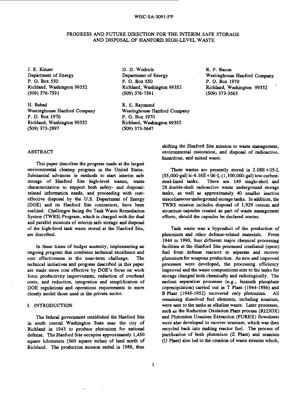#### WHC-SA-3091-FP

#### PROGRESS AND FUTURE DIRECTION FOR THE INTERIM SAFE STORAGE AND DISPOSAL OF HANFORD HIGH-LEVEL WASTE

J. E. Kinzer Department of Energy P. O. Box 550 Richland, Washington 99352 (509) 376-7591

H. Babad Westinghouse Hanford Company P. O. Box 1970 Richland, Washington 99352 (509) 373-2897

D. D. Wodrich Department of Energy P. O. Box 550 Richland, Washington 99352 (509) 376-7591

R. E. Raymond Westinghouse Hanford Company P. O. Box 1970 Richland, Washington 99352 (509) 373-3647

R. F. Bacon Westinghouse Hanford Company P. O. Box 1970 Richland, Washington 99352 (509) 373-3563

#### ABSTRACT

This paper describes the progress made at the largest environmental cleanup program in the United States. Substantial advances in methods to start interim safe storage of Hanford Site high-level wastes, waste characterization to support both safety- and disposalrelated information needs, and proceeding with costeffective disposal by the U.S. Department of Energy (DOE) and its Hanford Site contractors, have been realized. Challenges facing the Tank Waste Remediation System (TWRS) Program, which is charged with the dual and parallel missions of interim safe storage and disposal of the high-level tank waste stored at the Hanford Site, are described.

In these times of budget austerity, implementing an ongoing program that combines technical excellence and cost effectiveness is the near-term challenge. The technical initiatives and progress described in this paper are made more cost effective by DOE's focus on work force productivity improvement, reduction of overhead costs, and reduction, integration and simplification of DOE regulations and operations requirements to more closely model those used in the private sector.

#### I. INTRODUCTION

The federal government established the Hanford Site in south central Washington State near the city of Richland in 1943 to produce plutonium for national defense. The Hanford Site occupies approximately 1,450 square kilometers (560 square miles) of land north of Richland. The production mission ended in 1988, thus

shifting the Hanford Site mission to waste management, environmental restoration, and disposal of radioactive, hazardous, and mixed waste.

These wastes are presently stored in 2.08E+05-L  $(55,000-ga)$  to  $4.16E+06-L(1,100,000-ga)$  low-carbon-<br>steel-lined tanks. There are 149 single-shell and There are 149 single-shell and 28 double-shell radioactive waste underground storage tanks, as well as approximately 40 smaller inactive miscellaneous underground storage tanks. In addition, the TWRS mission includes disposal of 1,929 cesium and strontium capsules created as part of waste management efforts, should the capsules be declared wastes.

Tank waste was a byproduct of the production of plutonium and other defense-related materials. From 1944 to 1990, four different major chemical processing facilities at the Hanford Site processed irradiated (spent) fuel from defense reactors to separate and recover plutonium for weapons production. As new and improved processes were developed, the processing efficiency improved and the waste compositions sent to the tanks for storage changed both chemically and radiologically. The earliest separation processes (e.g., bismuth phosphate coprecipitation) carried out in T Plant (1944-1956) and B Plant (1945-1952) recovered only plutonium. All remaining dissolved fuel elements, including uranium, were sent to the tanks as alkaline waste. Later processes, such as the Reduction Oxidation Plant process (REDOX) and Plutonium Uranium Extraction (PUREX) flowsheets were also developed to recover uranium, which was then recycled back into making reactor fuel. The process of purification of both plutonium (Z Plant) and uranium (U Plant) also led to the creation of waste streams which,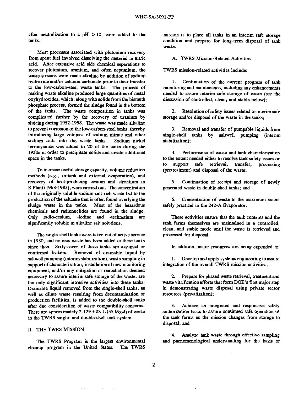after neutralization to a  $pH > 10$ , were added to the tanks.

Most processes associated with plutonium recovery from spent fuel involved dissolving the material in nitric acid. After extensive acid side chemical separations to recover plutonium, uranium, and often neptunium, the waste streams were made alkaline by addition of sodium hydroxide and/or calcium carbonate prior to their transfer to the low-carbon-steel waste tanks. The process of making waste alkaline produced large quantities of metal oxyhydroxides, which, along with solids from the bismuth phosphate process, formed the sludge found in the bottom of the tanks. The waste composition in tanks was complicated further by the recovery of uranium by sluicing during 1952-1958. The waste was made alkaline to prevent corrosion of the low-carbon-steel tanks, thereby introducing large volumes of sodium nitrate and other sodium salts into the waste tanks. Sodium nickel ferrocyanide was added to 20 of the tanks during the 1950s in order to precipitate solids and create additional space in the tanks.

To increase useful storage capacity, volume reduction methods (e.g., in-tank and external evaporation), and recovery of heat-producing cesium and strontium in B Plant (1968-1985), were carried out. The concentration of the originally soluble sodium-salt-rich waste led to the production of the saltcake that is often found overlying the sludge waste in the tanks. Most of the hazardous chemicals and radionuclides are found in the sludge. Only radio-cesium, -iodine and -technetium are significantly soluble in alkaline salt solutions.

The single-shell tanks were taken out of active service in 1980, and no new waste has been added to these tanks since then. Sixty-seven of these tanks are assumed or confirmed leakers. Removal of drainable liquid by saltwell pumping (interim stabilization), waste sampling in support of characterization, installation of new monitoring equipment, and/or any mitigation or remediation deemed necessary to assure interim safe storage of the waste, are the only significant intrusive activities into these tanks. Drainable liquid removed from the single-shell tanks, as well as dilute waste resulting from decontamination of production facilities, is added to the double-shell tanks after due consideration of waste compatibility concerns. There are approximately 2.12E+08 L *(55* Mgal) of waste in the TWRS single- and double-shell tank system.

#### II. THE TWRS MISSION

The TWRS Program is the largest environmental cleanup program in the United States. The TWRS mission is to place all tanks in an interim safe storage condition and prepare for long-term disposal of tank waste.

A. TWRS Mission-Related Activities

TWRS mission-related activities include:

1. Continuation of the current program of tank monitoring and maintenance, including any enhancements needed to assure interim safe storage of waste (see the discussion of controlled, clean, and stable below);

2. Resolution of safety issues related to interim safe storage and/or disposal of the waste in the tanks;

3. Removal and transfer of pumpable liquids from single-shell tanks by saltwell pumping (interim stabilization);

4. Performance of waste and tank characterization to the extent needed either to resolve tank safety issues or to support safe retrieval, transfer, processing (pretreatment) and disposal of the waste;

5. Continuation of receipt and storage of newly generated waste in double-shell tanks; and

6. Concentration of waste to the maximum extent safely practical in the 242-A Evaporator.

These activities ensure that the tank contents and the tank farms themselves are maintained in a controlled, clean, and stable mode until the waste is retrieved and processed for disposal.

In addition, major resources are being expended to:

1. Develop and apply systems engineering to assure integration of the overall TWRS mission activities;

2. Prepare for phased waste retrieval, treatment and waste vitrification efforts that form DOE's first major step in demonstrating waste disposal using private sector resources (privatization);

3. Achieve an integrated and responsive safety authorization basis to assure continued safe operation of the tank farms as the mission changes from storage to disposal; and

4. Analyze tank waste through effective sampling and phenomenological understanding for the basis of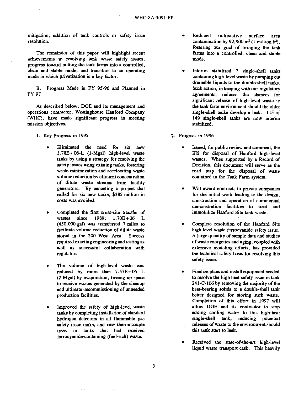mitigation, addition of tank controls or safety issue resolution.

The remainder of this paper will highlight recent achievements in resolving tank waste safety issues, progress toward putting the tank farms into a controlled, clean and stable mode, and transition to an operating mode in which privatization is a key factor.

B. FY 97 Progress Made in FY 95-96 and Planned in

As described below, DOE and its management and operations contractor, Westinghouse Hanford Company (WHC), have made significant progress in meeting mission objectives.

- 1. Key Progress in 1995
	- Eliminated the need for six new 3.78E+06-L (1-Mgal) high-level waste tanks by using a strategy for resolving the safety issues using existing tanks, fostering waste minimization and accelerating waste volume reduction by efficient concentration of dilute waste streams from facility generators. By canceling a project that called for six new tanks, \$385 million in costs was avoided.
	- Completed the first cross-site transfer of wastes since 1989; 1.70E+06 L (450,000 gal) was transferred 7 miles to facilitate volume reduction of dilute waste stored in the 200 West Area. Success required exacting engineering and testing as well as successful collaboration with regulators.
	- The volume of high-level waste was reduced by more than 7.57E+06 L (2 Mgal) by evaporation, freeing up space to receive wastes generated by the cleanup and ultimate decommissioning of unneeded production facilities.
	- Improved the safety of high-level waste tanks by completing installation of standard hydrogen detectors in all flammable gas safety issue tanks, and new thermocouple trees in tanks that had received ferrocyanide-containing (fuel-rich) waste.
- Reduced radioactive surface area contamination by  $92,900$  m<sup>2</sup> (1 million ft<sup>2</sup>), fostering our goal of bringing the tank farms into a controlled, clean and stable mode.
- Interim stabilized 7 single-shell tanks containing high-level waste by pumping out drainable liquids to the double-shell tanks. Such action, in keeping with our regulatory agreements, reduces the chances for significant release of high-level waste to the tank farm environment should the older single-shell tanks develop a leak. 115 of 149 single-shell tanks are now interim stabilized.
- 2. Progress in 1996
	- Issued, for public review and comment, the EIS for disposal of Hanford high-level wastes. When supported by a Record of Decision, this document will serve as the road map for the disposal of waste contained in the Tank Farm system.
	- Will award contracts to private companies for the initial work leading to the design, construction and operation of commercial demonstration facilities to treat and immobilize Hanford Site tank waste.
	- Complete resolution of the Hanford Site high-level waste ferrocyanide safety issue. A large quantity of sample data and studies of waste energetics and aging, coupled with extensive modeling efforts, has provided the technical safety basis for resolving this safety issue.
	- Finalize plans and install equipment needed to resolve the high heat safety issue in tank 241-C-106 by removing the majority of the heat-bearing solids to a double-shell tank better designed for storing such waste. Completion of this effort in 1997 will allow DOE and its contractor to stop adding cooling water to this high-heat single-shell tank, reducing potential releases of waste to the environment should this tank start to leak.
	- Received the state-of-the-art high-level liquid waste transport cask. This heavily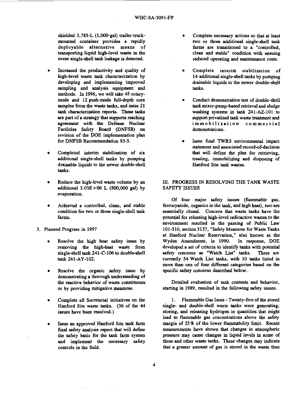shielded 3,785-L (1,000-gal) trailer-truckmounted container provides a rapidly deployable alternative means of transporting liquid high-level waste in the event single-shell tank leakage is detected.

- Increased the productivity and quality of high-level waste tank characterization by developing and implementing improved sampling and analysis equipment and methods. In 1996, we will take 45 rotarymode and 12 push-mode full-depth core samples from the waste tanks, and issue 21 tank characterization reports. These tasks are part of a strategy that supports reaching agreement with the Defense Nuclear Facilities Safety Board (DNFSB) on revision of the DOE implementation plan for DNFSB Recommendation 93-5.
- Completed interim stabilization of six additional single-shell tanks by pumping drainable liquids to the newer double-shell tanks.
- Reduce the high-level waste volume by an additional 3.03E+06 L (800,000 gal) by evaporation.
- Achieved a controlled, clean, and stable condition for two or three single-shell tank farms.
- 3. Planned Progress in 1997
	- Resolve the high heat safety issue by removing the high-heat waste from single-shell tank 241-C-106 to double-shell tank 241-AY-102.
	- Resolve the organic safety issue by demonstrating a thorough understanding of the reactive behavior of waste constituents or by providing mitigative measures.
	- Complete all Secretarial initiatives on the Hanford Site waste tanks. (36 of the 44 issues have been resolved.)
	- Issue an approved Hanford Site tank farm final safety analysis report that will define the safety basis for the tank farm system and implement the necessary safety controls in the field.
- Complete necessary actions so that at least two or three additional single-shell tank farms are transitioned to a "controlled, clean and stable" condition with ensuing reduced operating and maintenance costs.
- Complete interim stabilization of 14 additional single-shell tanks by pumping drainable liquids to the newer double-shell tanks.
- Conduct demonstration test of double-shell tank mixer-pump-based retrieval and sludge washing systems in tank 241-AZ-101 to support privatized tank waste treatment and *i* m m obilization commercial demonstrations.
- Issue final TWRS environmental impact statement and associated record-of-decision that will define the plan for retrieving, treating, immobilizing and disposing of Hanford Site tank wastes.

#### III. PROGRESS IN RESOLVING THE TANK WASTE SAFETY ISSUES

Of four major safety issues (flammable gas, ferrocyanide, organics in the tank, and high heat), two are essentially closed. Concern that waste tanks have the potential for releasing high-level radioactive wastes to the environment resulted in the passing of Public Law 101-510, section 3137, "Safety Measures for Waste Tanks at Hanford Nuclear Reservation," also known as the Wyden Amendment, in 1990. In response, DOE developed a set of criteria to identify tanks with potential safety concerns as "Watch List" tanks. There are currently 54 Watch List tanks, with 10 tanks listed in more than one of four different categories based on the specific safety concerns described below.

Detailed evaluation of tank contents and behavior, starting in 1989, resulted in the following safety issues.

1. Flammable Gas Issue - Twenty-five of the stored single- and double-shell waste tanks were generating, storing, and releasing hydrogen in quantities that might lead to flammable gas concentrations above the safety margin of 25 % of the lower flammability limit. Recent measurements have shown that changes in atmospheric pressure may cause changes in liquid levels in some of these and other waste tanks. These changes may indicate that a greater amount of gas is stored in the waste than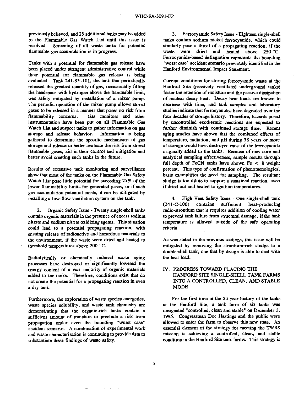previously believed, and 25 additional tanks may be added to the Flammable Gas Watch List until this issue is resolved. Screening of all waste tanks for potential flammable gas accumulation is in progress.

Tanks with a potential for flammable gas release have been placed under stringent administrative control while their potential for flammable gas release is being evaluated. Tank 241-SY-101, the tank that periodically released the greatest quantity of gas, occasionally filling the headspace with hydrogen above the flammable limit, was safety mitigated by installation of a mixer pump. The periodic operation of the mixer pump allows stored gases to be released in a manner that poses no risk from flammability concerns. Gas monitors and other instrumentation have been put on all Flammable Gas Watch List and suspect tanks to gather information on gas storage and release behavior. Information is being gathered to determine the specific mechanisms of gas storage and release to better evaluate the risk from stored flammable gases, aid in their control and mitigation and better avoid creating such tanks in the future.

Results of extensive tank monitoring and surveillance show that most of the tanks on the Flammable Gas Safety Watch List pose little potential for exceeding 25% of the lower flammability limits for generated gases, or if such gas accumulation potential exists, it can be mitigated by installing a low-flow ventilation system on the tank.

2. Organic Safety Issue - Twenty single-shell tanks contain organic materials in the presence of excess sodium nitrate and sodium nitrite oxidizing agents. This situation could lead to a potential propagating reaction, with ensuing release of radioactive and hazardous materials to the environment, if the waste were dried and heated to threshold temperatures above 200 °C.

Radiolytically or chemically induced waste aging processes have destroyed or significantly lowered the energy content of a vast majority of organic materials added to the tanks. Therefore, conditions exist that do not create the potential for a propagating reaction in even a dry tank.

Furthermore, the exploration of waste species energetics, waste species solubility, and waste tank chemistry are demonstrating that the organic-rich tanks contain a sufficient amount of moisture to preclude a risk from propagation under even the bounding "worst case" accident scenario. A combination of experimental work and waste characterization is continuing to provide data to substantiate these findings of waste safety.

3. Ferrocyanide Safety Issue - Eighteen single-shell tanks contain sodium nickel ferrocyanide, which could similarly pose a threat of a propagating reaction, if the waste were dried and heated above 250 °C. Ferrocyanide-based deflagration represents the bounding "worst case" accident scenario previously identified in the Hanford Environmental Impact Statement.

Current conditions for storing ferrocyanide waste at the Hanford Site (passively ventilated underground tanks) foster the retention of moisture and the passive dissipation of nuclear decay heat. Decay heat loads are known to decrease with time, and tank samples and laboratory studies indicate that ferrocyanides have degraded over the four decades of storage history. Therefore, hazards posed by uncontrolled exothermic reactions are expected to further diminish with continued storage time. Recent aging studies have shown that the combined effects of temperature, radiation, and pH during 38 years or more of storage would have destroyed most of the ferrocyanide originally added to the tanks. Because of new core and analytical sampling effectiveness, sample results through full depth of FeCN tanks have shown Fe < 8 weight percent. This type of confirmation of phenomenological basis exemplifies the need for sampling. The resultant sludge is too dilute to support a sustained reaction, even if dried out and heated to ignition temperatures.

4. High Heat Safety Issue - One single-shell tank (241-C-106) contains sufficient heat-producing radio-strontium that it requires addition of cooling water to prevent tank failure from structural damage, if the tank temperature is allowed outside of the safe operating criteria.

As was stated in the previous sections, this issue will be mitigated by removing the strontium-rich sludge to a double-shell tank, one that by design is able to deal with the heat load.

#### IV. PROGRESS TOWARD PLACING THE HANFORD SITE SINGLE-SHELL TANK FARMS INTO A CONTROLLED, CLEAN, AND STABLE **MODE**

For the first time in the 50-year history of the tanks at the Hanford Site, a tank farm of six tanks was designated "controlled, clean and stable" on December 3, 1995. Congressman Doc Hastings and the public were allowed to enter the farm to observe this new state. An essential element of the strategy for meeting the TWRS mission is achieving a controlled, clean, and stable condition in the Hanford Site tank farms. This strategy is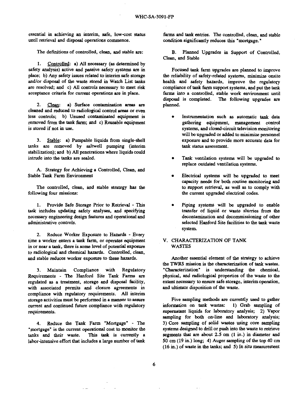essential in achieving an interim, safe, low-cost status until retrieval and disposal operations commence.

The definitions of controlled, clean, and stable are:

1. Controlled: a) All necessary (as determined by safety analysis) active and passive safety systems are in place; b) Any safety issues related to interim safe storage and/or disposal of the waste stored in Watch List tanks are resolved; and c) All controls necessary to meet risk acceptance criteria for current operations are in place.

2. Clean: a) Surface contamination areas are cleaned and reduced to radiological control areas or even less controls; b) Unused contaminated equipment is removed from the tank farm; and c) Reusable equipment is stored if not in use.

3. Stable: a) Pumpable liquids from single-shell tanks are removed by saltwell pumping (interim stabilization); and b) All penetrations where liquids could intrude into the tanks are sealed.

A. Strategy for Achieving a Controlled, Clean, and Stable Tank Farm Environment

The controlled, clean, and stable strategy has the following four missions:

1. Provide Safe Storage Prior to Retrieval - This task includes updating safety analyses, and specifying necessary engineering design features and operational and administrative controls.

2. Reduce Worker Exposure to Hazards - Every time a worker enters a tank farm, or operates equipment in or near a tank, there is some level of potential exposure to radiological and chemical hazards. Controlled, clean, and stable reduces worker exposure to these hazards.

3. Maintain Compliance with Regulatory Requirements - The Hanford Site Tank Farms are regulated as a treatment, storage and disposal facility, with associated permits and closure agreements in compliance with regulatory requirements. All interim storage activities must be performed in a manner to assure current and continued future compliance with regulatory requirements.

4. Reduce the Tank Farm "Mortgage" - The "mortgage" is the current operational cost to monitor the<br>tanks and their waste. This task is currently a This task is currently a labor-intensive effort that includes a large number of tank farms and tank entries. The controlled, clean, and stable condition significantly reduces this "mortgage."

B. Planned Upgrades in Support of Controlled, Clean, and Stable

Focused tank farm upgrades are planned to improve the reliability of safety-related systems, minimize onsite health and safety hazards, improve the regulatory compliance of tank farm support systems, and put the tank farms into a controlled, stable work environment until disposal is completed. The following upgrades are planned.

- Instrumentation such as automatic tank data gathering equipment, management control systems, and closed-circuit television monitoring will be upgraded or added to minimize personnel exposure and to provide more accurate data for tank status assessment.
- Tank ventilation systems will be upgraded to replace outdated ventilation systems.
- Electrical systems will be upgraded to meet capacity needs for both routine monitoring and to support retrieval, as well as to comply with the current upgraded electrical codes.
- Piping systems will be upgraded to enable transfer of liquid or waste slurries from the decontamination and decommissioning of other selected Hanford Site facilities to the tank waste system.

#### V. CHARACTERIZATION OF TANK WASTES

Another essential element of the strategy to achieve the TWRS mission is the characterization of tank wastes. "Characterization" is understanding the chemical, physical, and radiological properties of the waste to the extent necessary to ensure safe storage, interim operation, and ultimate disposition of the waste.

Five sampling methods are currently used to gather<br>rmation on tank wastes: 1) Grab sampling of information on tank wastes: supernatant liquids for laboratory analysis; 2) Vapor sampling for both on-line and laboratory analysis; 3) Core sampling of solid wastes using core sampling systems designed to drill or push into the waste to retrieve segments that are about 2.5 cm (1 in.) in diameter and 50 cm (19 in.) long; 4) Auger sampling of the top 40 cm (16 in.) of waste in the tanks; and 5) In situ measurement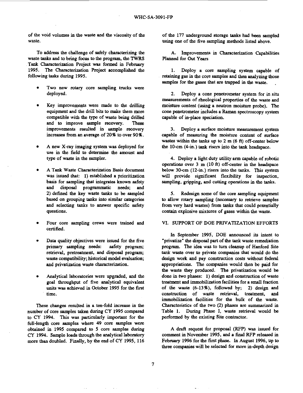of the void volumes in the waste and the viscosity of the waste.

To address the challenge of safely characterizing the waste tanks and to bring focus to the program, the TWRS Tank Characterization Project was formed in February 199S. The Characterization Project accomplished the following tasks during 1995.

- Two new rotary core sampling trucks were deployed.
- Key improvements were made to the drilling equipment and the drill bits to make them more compatible with the type of waste being drilled and to improve sample recovery. These improvements resulted in sample recovery increases from an average of 20% to over 9096.
- A new X-ray imaging system was deployed for use in the field to determine the amount and type of waste in the sampler.
- A Tank Waste Characterization Basis document was issued that: 1) established a prioritization basis for sampling that integrates known safety and disposal programmatic needs; and 2) defined the key waste tanks to be sampled based on grouping tanks into similar categories and selecting tanks to answer specific safety questions.
- Four core sampling crews were trained and certified.
- Data quality objectives were issued for the five<br>primary sampling needs: safety program: primary sampling needs: retrieval, pretreatment, and disposal program; waste compatibility; historical model evaluation; and privatization waste characterization.
- Analytical laboratories were upgraded, and the goal throughput of five analytical equivalent units was achieved in October 1995 for the first time.

These changes resulted in a ten-fold increase in the number of core samples taken during CY 1995 compared to CY 1994. This was particularly important for the full-length core samples where 49 core samples were obtained in 1995 compared to 5 core samples during CY 1994. Sample loads through the analytical laboratory more than doubled. Finally, by the end of CY 1995, 116 of the 177 underground storage tanks had been sampled using one of the five sampling methods listed above.

A. Improvements in Characterization Capabilities Planned for Out Years

1. Deploy a core sampling system capable of retaining gas in the core samples and then analyzing those samples for the gases that are trapped in the waste.

2. Deploy a cone penetrometer system for in situ measurements of rheological properties of the waste and moisture content (using a neutron moisture probe). The cone penetrometer includes a Raman spectroscopy system capable of in-place speciation.

3. Deploy a surface moisture measurement system capable of measuring the moisture content of surface wastes within the tanks up to 2 m (6 ft) off-center below the 10-cm (4-in.) tank risers into the tank headspace.

4. Deploy a light duty utility arm capable of robotic operations over 3 m (10 ft) off-center in the headspace below 30-cm (12-in.) risers into the tanks. This system will provide significant flexibility for inspection, sampling, gripping, and cutting operations in the tanks.

5. Redesign some of the core sampling equipment to allow rotary sampling (necessary to retrieve samples from very hard wastes) from tanks that could potentially contain explosive mixtures of gases within the waste.

#### VI. SUPPORT OF DOE PRIVATIZATION EFFORTS

In September 1995, DOE announced its intent to "privatize" the disposal part of the tank waste remediation program. The idea was to turn cleanup of Hanford Site tank waste over to private companies that would do the design work and pay construction costs without federal appropriations. The companies would then be paid for the waste they produced. The privatization would be done in two phases: 1) design and construction of waste treatment and immobilization facilities for a small fraction of the waste (6-13%), followed by; 2) design and construction of waste retrieval, treatment, and immobilization facilities for the bulk of the waste. Characteristics of the two (2) phases are summarized in Table 1. During Phase I, waste retrieval would be performed by the existing Site contractor.

A draft request for proposal (RFP) was issued for comment in November 1995, and a final RFP released in February 1996 for the first phase. In August 1996, up to three companies will be selected for more in-depth design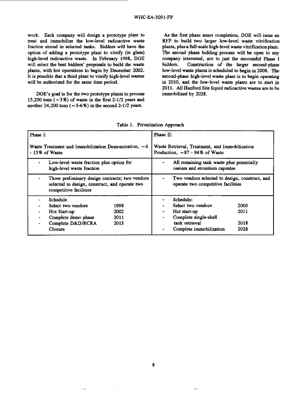work. Each company will design a prototype plant to treat and immobilize the low-level radioactive waste fraction stored in selected tanks. Bidders will have the option of adding a prototype plant to vitrify (in glass) high-level radioactive waste. In February 1998, DOE will select the best bidders' proposals to build the waste plants, with hot operations to begin by December 2002. It is possible that a third plant to vitrify high-level wastes will be authorized for the same time period.

DOE's goal is for the two prototype plants to process 13,200 tons  $(-3\%)$  of waste in the first 2-1/2 years and another  $24,200$  tons ( $-5-6$ %) in the second  $2-1/2$  years.

As the first phase nears completion, DOE will issue an RFP to build two larger low-level waste vitrification plants, plus a full-scale high-level waste vitrification plant. The second phase bidding process will be open to any company interested, not to just the successful Phase I bidders. Construction of the larger second-phase low-level waste plants is scheduled to begin in 2008. The second-phase high-level waste plant is to begin operating in 2010, and the low-level waste plants are to start in 2011. All Hanford Site liquid radioactive wastes are to be immobilized by 2028.

| Phase 1:<br>Waste Treatment and Immobilization Demonstration, $\sim 6$<br>- 13% of Waste                                    | Phase II:<br>Waste Retrieval, Treatment, and Immobilization<br>Production, $\sim 87 - 94\%$ of Waste |  |  |  |
|-----------------------------------------------------------------------------------------------------------------------------|------------------------------------------------------------------------------------------------------|--|--|--|
| Low-level waste fraction plus option for<br>high-level waste fraction                                                       | All remaining tank waste plus potentially<br>cesium and strontium capsules                           |  |  |  |
| Three preliminary design contracts; two vendors<br>selected to design, construct, and operate two<br>competitive facilities | Two vendors selected to design, construct, and<br>operate two competitive facilities                 |  |  |  |
| Schedule                                                                                                                    | Schedule:                                                                                            |  |  |  |
| Select two vendors<br>1998                                                                                                  | Select two vendors<br>2005                                                                           |  |  |  |
| 2002<br>Hot Start-up<br>۰                                                                                                   | 2011<br>Hot start-up<br>-                                                                            |  |  |  |
| Complete demo phase<br>2011<br>$\blacksquare$                                                                               | Complete single-shell<br>٠                                                                           |  |  |  |
| Complete D&D/RCRA<br>2013<br>٠                                                                                              | tank retrieval<br>2018                                                                               |  |  |  |
| Closure                                                                                                                     | Complete immobilization<br>2028                                                                      |  |  |  |

Table 1. Privatization Approach